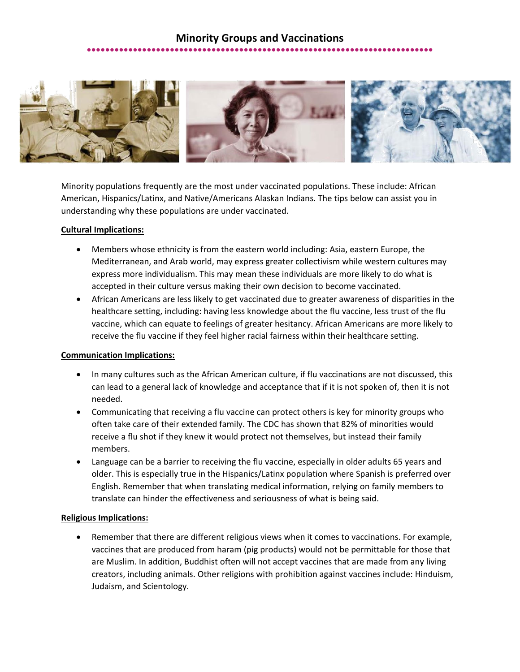## **Minority Groups and Vaccinations** ●●●●●●●●●●●●●●●●●●●●●●●●●●●●●●●●●●●●●●●●●●●●●●●●●●●●●●●●●●●●●●●●●●●●●●●●●●●

Minority populations frequently are the most under vaccinated populations. These include: African American, Hispanics/Latinx, and Native/Americans Alaskan Indians. The tips below can assist you in understanding why these populations are under vaccinated.

## **Cultural Implications:**

- Members whose ethnicity is from the eastern world including: Asia, eastern Europe, the Mediterranean, and Arab world, may express greater collectivism while western cultures may express more individualism. This may mean these individuals are more likely to do what is accepted in their culture versus making their own decision to become vaccinated.
- African Americans are less likely to get vaccinated due to greater awareness of disparities in the healthcare setting, including: having less knowledge about the flu vaccine, less trust of the flu vaccine, which can equate to feelings of greater hesitancy. African Americans are more likely to receive the flu vaccine if they feel higher racial fairness within their healthcare setting.

## **Communication Implications:**

- In many cultures such as the African American culture, if flu vaccinations are not discussed, this can lead to a general lack of knowledge and acceptance that if it is not spoken of, then it is not needed.
- Communicating that receiving a flu vaccine can protect others is key for minority groups who often take care of their extended family. The CDC has shown that 82% of minorities would receive a flu shot if they knew it would protect not themselves, but instead their family members.
- Language can be a barrier to receiving the flu vaccine, especially in older adults 65 years and older. This is especially true in the Hispanics/Latinx population where Spanish is preferred over English. Remember that when translating medical information, relying on family members to translate can hinder the effectiveness and seriousness of what is being said.

## **Religious Implications:**

• Remember that there are different religious views when it comes to vaccinations. For example, vaccines that are produced from haram (pig products) would not be permittable for those that are Muslim. In addition, Buddhist often will not accept vaccines that are made from any living creators, including animals. Other religions with prohibition against vaccines include: Hinduism, Judaism, and Scientology.